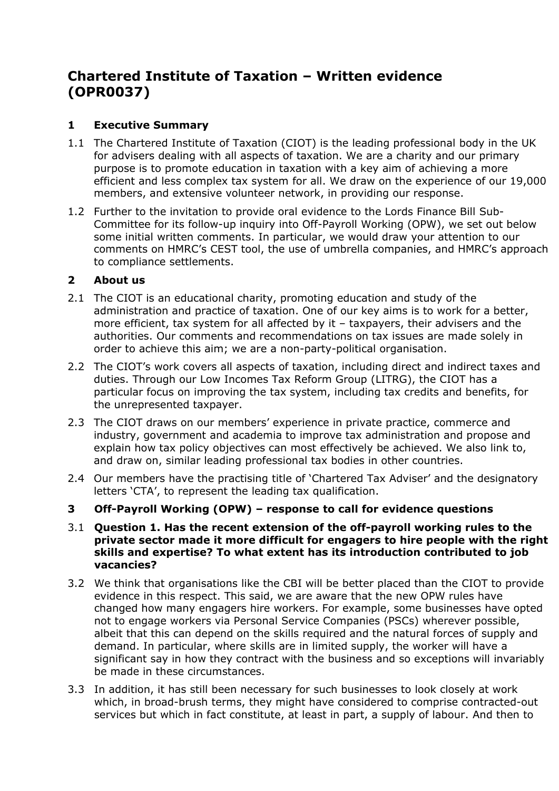# **Chartered Institute of Taxation – Written evidence (OPR0037)**

# **1 Executive Summary**

- 1.1 The Chartered Institute of Taxation (CIOT) is the leading professional body in the UK for advisers dealing with all aspects of taxation. We are a charity and our primary purpose is to promote education in taxation with a key aim of achieving a more efficient and less complex tax system for all. We draw on the experience of our 19,000 members, and extensive volunteer network, in providing our response.
- 1.2 Further to the invitation to provide oral evidence to the Lords Finance Bill Sub-Committee for its follow-up inquiry into Off-Payroll Working (OPW), we set out below some initial written comments. In particular, we would draw your attention to our comments on HMRC's CEST tool, the use of umbrella companies, and HMRC's approach to compliance settlements.

## **2 About us**

- 2.1 The CIOT is an educational charity, promoting education and study of the administration and practice of taxation. One of our key aims is to work for a better, more efficient, tax system for all affected by it – taxpayers, their advisers and the authorities. Our comments and recommendations on tax issues are made solely in order to achieve this aim; we are a non-party-political organisation.
- 2.2 The CIOT's work covers all aspects of taxation, including direct and indirect taxes and duties. Through our Low Incomes Tax Reform Group (LITRG), the CIOT has a particular focus on improving the tax system, including tax credits and benefits, for the unrepresented taxpayer.
- 2.3 The CIOT draws on our members' experience in private practice, commerce and industry, government and academia to improve tax administration and propose and explain how tax policy objectives can most effectively be achieved. We also link to, and draw on, similar leading professional tax bodies in other countries.
- 2.4 Our members have the practising title of 'Chartered Tax Adviser' and the designatory letters 'CTA', to represent the leading tax qualification.
- **3 Off-Payroll Working (OPW) – response to call for evidence questions**
- 3.1 **Question 1. Has the recent extension of the off-payroll working rules to the private sector made it more difficult for engagers to hire people with the right skills and expertise? To what extent has its introduction contributed to job vacancies?**
- 3.2 We think that organisations like the CBI will be better placed than the CIOT to provide evidence in this respect. This said, we are aware that the new OPW rules have changed how many engagers hire workers. For example, some businesses have opted not to engage workers via Personal Service Companies (PSCs) wherever possible, albeit that this can depend on the skills required and the natural forces of supply and demand. In particular, where skills are in limited supply, the worker will have a significant say in how they contract with the business and so exceptions will invariably be made in these circumstances.
- 3.3 In addition, it has still been necessary for such businesses to look closely at work which, in broad-brush terms, they might have considered to comprise contracted-out services but which in fact constitute, at least in part, a supply of labour. And then to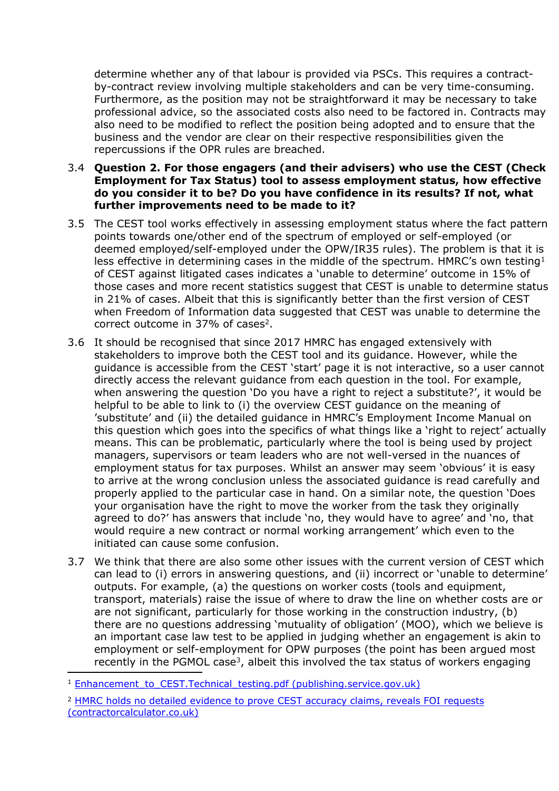determine whether any of that labour is provided via PSCs. This requires a contractby-contract review involving multiple stakeholders and can be very time-consuming. Furthermore, as the position may not be straightforward it may be necessary to take professional advice, so the associated costs also need to be factored in. Contracts may also need to be modified to reflect the position being adopted and to ensure that the business and the vendor are clear on their respective responsibilities given the repercussions if the OPR rules are breached.

#### 3.4 **Question 2. For those engagers (and their advisers) who use the CEST (Check Employment for Tax Status) tool to assess employment status, how effective do you consider it to be? Do you have confidence in its results? If not, what further improvements need to be made to it?**

- 3.5 The CEST tool works effectively in assessing employment status where the fact pattern points towards one/other end of the spectrum of employed or self-employed (or deemed employed/self-employed under the OPW/IR35 rules). The problem is that it is less effective in determining cases in the middle of the spectrum. HMRC's own testing<sup>1</sup> of CEST against litigated cases indicates a 'unable to determine' outcome in 15% of those cases and more recent statistics suggest that CEST is unable to determine status in 21% of cases. Albeit that this is significantly better than the first version of CEST when Freedom of Information data suggested that CEST was unable to determine the correct outcome in 37% of cases<sup>2</sup>.
- 3.6 It should be recognised that since 2017 HMRC has engaged extensively with stakeholders to improve both the CEST tool and its guidance. However, while the guidance is accessible from the CEST 'start' page it is not interactive, so a user cannot directly access the relevant guidance from each question in the tool. For example, when answering the question 'Do you have a right to reject a substitute?', it would be helpful to be able to link to (i) the overview CEST guidance on the meaning of 'substitute' and (ii) the detailed guidance in HMRC's Employment Income Manual on this question which goes into the specifics of what things like a 'right to reject' actually means. This can be problematic, particularly where the tool is being used by project managers, supervisors or team leaders who are not well-versed in the nuances of employment status for tax purposes. Whilst an answer may seem 'obvious' it is easy to arrive at the wrong conclusion unless the associated guidance is read carefully and properly applied to the particular case in hand. On a similar note, the question 'Does your organisation have the right to move the worker from the task they originally agreed to do?' has answers that include 'no, they would have to agree' and 'no, that would require a new contract or normal working arrangement' which even to the initiated can cause some confusion.
- 3.7 We think that there are also some other issues with the current version of CEST which can lead to (i) errors in answering questions, and (ii) incorrect or 'unable to determine' outputs. For example, (a) the questions on worker costs (tools and equipment, transport, materials) raise the issue of where to draw the line on whether costs are or are not significant, particularly for those working in the construction industry, (b) there are no questions addressing 'mutuality of obligation' (MOO), which we believe is an important case law test to be applied in judging whether an engagement is akin to employment or self-employment for OPW purposes (the point has been argued most recently in the PGMOL case<sup>3</sup>, albeit this involved the tax status of workers engaging

<sup>&</sup>lt;sup>1</sup> [Enhancement\\_to\\_CEST.Technical\\_testing.pdf](https://assets.publishing.service.gov.uk/government/uploads/system/uploads/attachment_data/file/872970/Enhancement_to_CEST.Technical_testing.pdf) [\(publishing.service.gov.uk\)](https://assets.publishing.service.gov.uk/government/uploads/system/uploads/attachment_data/file/872970/Enhancement_to_CEST.Technical_testing.pdf)

<sup>2</sup> [HMRC](https://www.contractorcalculator.co.uk/hmrc_holds_detailed_evidence_prove_cest_540010_news.aspx) [holds](https://www.contractorcalculator.co.uk/hmrc_holds_detailed_evidence_prove_cest_540010_news.aspx) [no](https://www.contractorcalculator.co.uk/hmrc_holds_detailed_evidence_prove_cest_540010_news.aspx) [detailed](https://www.contractorcalculator.co.uk/hmrc_holds_detailed_evidence_prove_cest_540010_news.aspx) [evidence](https://www.contractorcalculator.co.uk/hmrc_holds_detailed_evidence_prove_cest_540010_news.aspx) [to](https://www.contractorcalculator.co.uk/hmrc_holds_detailed_evidence_prove_cest_540010_news.aspx) [prove](https://www.contractorcalculator.co.uk/hmrc_holds_detailed_evidence_prove_cest_540010_news.aspx) [CEST](https://www.contractorcalculator.co.uk/hmrc_holds_detailed_evidence_prove_cest_540010_news.aspx) [accuracy](https://www.contractorcalculator.co.uk/hmrc_holds_detailed_evidence_prove_cest_540010_news.aspx) [claims,](https://www.contractorcalculator.co.uk/hmrc_holds_detailed_evidence_prove_cest_540010_news.aspx) [reveals](https://www.contractorcalculator.co.uk/hmrc_holds_detailed_evidence_prove_cest_540010_news.aspx) [FOI](https://www.contractorcalculator.co.uk/hmrc_holds_detailed_evidence_prove_cest_540010_news.aspx) [requests](https://www.contractorcalculator.co.uk/hmrc_holds_detailed_evidence_prove_cest_540010_news.aspx) [\(contractorcalculator.co.uk\)](https://www.contractorcalculator.co.uk/hmrc_holds_detailed_evidence_prove_cest_540010_news.aspx)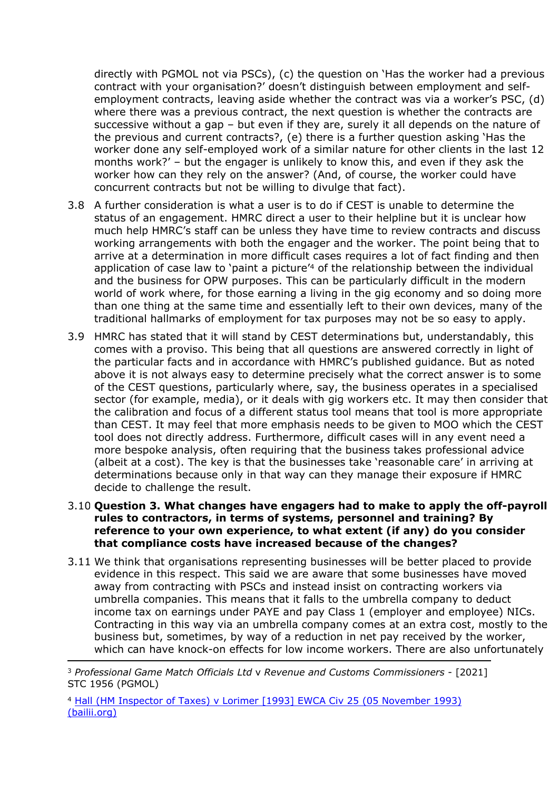directly with PGMOL not via PSCs), (c) the question on 'Has the worker had a previous contract with your organisation?' doesn't distinguish between employment and selfemployment contracts, leaving aside whether the contract was via a worker's PSC, (d) where there was a previous contract, the next question is whether the contracts are successive without a gap – but even if they are, surely it all depends on the nature of the previous and current contracts?, (e) there is a further question asking 'Has the worker done any self-employed work of a similar nature for other clients in the last 12 months work?' – but the engager is unlikely to know this, and even if they ask the worker how can they rely on the answer? (And, of course, the worker could have concurrent contracts but not be willing to divulge that fact).

- 3.8 A further consideration is what a user is to do if CEST is unable to determine the status of an engagement. HMRC direct a user to their helpline but it is unclear how much help HMRC's staff can be unless they have time to review contracts and discuss working arrangements with both the engager and the worker. The point being that to arrive at a determination in more difficult cases requires a lot of fact finding and then application of case law to 'paint a picture<sup>'4</sup> of the relationship between the individual and the business for OPW purposes. This can be particularly difficult in the modern world of work where, for those earning a living in the gig economy and so doing more than one thing at the same time and essentially left to their own devices, many of the traditional hallmarks of employment for tax purposes may not be so easy to apply.
- 3.9 HMRC has stated that it will stand by CEST determinations but, understandably, this comes with a proviso. This being that all questions are answered correctly in light of the particular facts and in accordance with HMRC's published guidance. But as noted above it is not always easy to determine precisely what the correct answer is to some of the CEST questions, particularly where, say, the business operates in a specialised sector (for example, media), or it deals with gig workers etc. It may then consider that the calibration and focus of a different status tool means that tool is more appropriate than CEST. It may feel that more emphasis needs to be given to MOO which the CEST tool does not directly address. Furthermore, difficult cases will in any event need a more bespoke analysis, often requiring that the business takes professional advice (albeit at a cost). The key is that the businesses take 'reasonable care' in arriving at determinations because only in that way can they manage their exposure if HMRC decide to challenge the result.
- 3.10 **Question 3. What changes have engagers had to make to apply the off-payroll rules to contractors, in terms of systems, personnel and training? By reference to your own experience, to what extent (if any) do you consider that compliance costs have increased because of the changes?**
- 3.11 We think that organisations representing businesses will be better placed to provide evidence in this respect. This said we are aware that some businesses have moved away from contracting with PSCs and instead insist on contracting workers via umbrella companies. This means that it falls to the umbrella company to deduct income tax on earnings under PAYE and pay Class 1 (employer and employee) NICs. Contracting in this way via an umbrella company comes at an extra cost, mostly to the business but, sometimes, by way of a reduction in net pay received by the worker, which can have knock-on effects for low income workers. There are also unfortunately

<sup>4</sup> [Hall](https://www.bailii.org/ew/cases/EWCA/Civ/1993/25.html) [\(HM](https://www.bailii.org/ew/cases/EWCA/Civ/1993/25.html) [Inspector](https://www.bailii.org/ew/cases/EWCA/Civ/1993/25.html) [of](https://www.bailii.org/ew/cases/EWCA/Civ/1993/25.html) [Taxes\)](https://www.bailii.org/ew/cases/EWCA/Civ/1993/25.html) [v](https://www.bailii.org/ew/cases/EWCA/Civ/1993/25.html) [Lorimer](https://www.bailii.org/ew/cases/EWCA/Civ/1993/25.html) [\[1993\]](https://www.bailii.org/ew/cases/EWCA/Civ/1993/25.html) [EWCA](https://www.bailii.org/ew/cases/EWCA/Civ/1993/25.html) [Civ](https://www.bailii.org/ew/cases/EWCA/Civ/1993/25.html) [25](https://www.bailii.org/ew/cases/EWCA/Civ/1993/25.html) [\(05](https://www.bailii.org/ew/cases/EWCA/Civ/1993/25.html) [November](https://www.bailii.org/ew/cases/EWCA/Civ/1993/25.html) [1993\)](https://www.bailii.org/ew/cases/EWCA/Civ/1993/25.html) [\(bailii.org\)](https://www.bailii.org/ew/cases/EWCA/Civ/1993/25.html)

<sup>3</sup> *Professional Game Match Officials Ltd* v *Revenue and Customs Commissioners* - [2021] STC 1956 (PGMOL)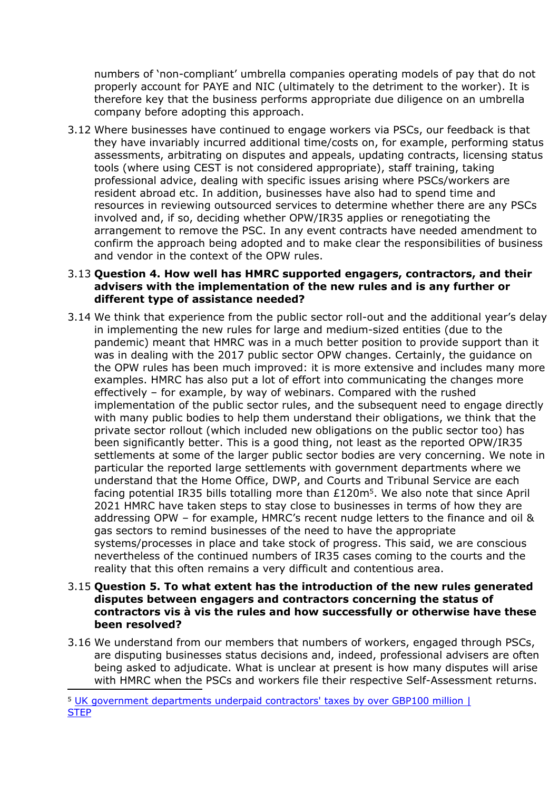numbers of 'non-compliant' umbrella companies operating models of pay that do not properly account for PAYE and NIC (ultimately to the detriment to the worker). It is therefore key that the business performs appropriate due diligence on an umbrella company before adopting this approach.

3.12 Where businesses have continued to engage workers via PSCs, our feedback is that they have invariably incurred additional time/costs on, for example, performing status assessments, arbitrating on disputes and appeals, updating contracts, licensing status tools (where using CEST is not considered appropriate), staff training, taking professional advice, dealing with specific issues arising where PSCs/workers are resident abroad etc. In addition, businesses have also had to spend time and resources in reviewing outsourced services to determine whether there are any PSCs involved and, if so, deciding whether OPW/IR35 applies or renegotiating the arrangement to remove the PSC. In any event contracts have needed amendment to confirm the approach being adopted and to make clear the responsibilities of business and vendor in the context of the OPW rules.

#### 3.13 **Question 4. How well has HMRC supported engagers, contractors, and their advisers with the implementation of the new rules and is any further or different type of assistance needed?**

3.14 We think that experience from the public sector roll-out and the additional year's delay in implementing the new rules for large and medium-sized entities (due to the pandemic) meant that HMRC was in a much better position to provide support than it was in dealing with the 2017 public sector OPW changes. Certainly, the guidance on the OPW rules has been much improved: it is more extensive and includes many more examples. HMRC has also put a lot of effort into communicating the changes more effectively – for example, by way of webinars. Compared with the rushed implementation of the public sector rules, and the subsequent need to engage directly with many public bodies to help them understand their obligations, we think that the private sector rollout (which included new obligations on the public sector too) has been significantly better. This is a good thing, not least as the reported OPW/IR35 settlements at some of the larger public sector bodies are very concerning. We note in particular the reported large settlements with government departments where we understand that the Home Office, DWP, and Courts and Tribunal Service are each facing potential IR35 bills totalling more than £120m<sup>5</sup>. We also note that since April 2021 HMRC have taken steps to stay close to businesses in terms of how they are addressing OPW – for example, HMRC's recent nudge letters to the finance and oil & gas sectors to remind businesses of the need to have the appropriate systems/processes in place and take stock of progress. This said, we are conscious nevertheless of the continued numbers of IR35 cases coming to the courts and the reality that this often remains a very difficult and contentious area.

#### 3.15 **Question 5. To what extent has the introduction of the new rules generated disputes between engagers and contractors concerning the status of contractors vis à vis the rules and how successfully or otherwise have these been resolved?**

3.16 We understand from our members that numbers of workers, engaged through PSCs, are disputing businesses status decisions and, indeed, professional advisers are often being asked to adjudicate. What is unclear at present is how many disputes will arise with HMRC when the PSCs and workers file their respective Self-Assessment returns.

<sup>5</sup> [UK](https://www.step.org/industry-news/uk-government-departments-underpaid-contractors-taxes-over-gbp100-million) [government](https://www.step.org/industry-news/uk-government-departments-underpaid-contractors-taxes-over-gbp100-million) [departments](https://www.step.org/industry-news/uk-government-departments-underpaid-contractors-taxes-over-gbp100-million) [underpaid](https://www.step.org/industry-news/uk-government-departments-underpaid-contractors-taxes-over-gbp100-million) [contractors'](https://www.step.org/industry-news/uk-government-departments-underpaid-contractors-taxes-over-gbp100-million) [taxes](https://www.step.org/industry-news/uk-government-departments-underpaid-contractors-taxes-over-gbp100-million) [by](https://www.step.org/industry-news/uk-government-departments-underpaid-contractors-taxes-over-gbp100-million) [over](https://www.step.org/industry-news/uk-government-departments-underpaid-contractors-taxes-over-gbp100-million) [GBP100](https://www.step.org/industry-news/uk-government-departments-underpaid-contractors-taxes-over-gbp100-million) [million](https://www.step.org/industry-news/uk-government-departments-underpaid-contractors-taxes-over-gbp100-million) [|](https://www.step.org/industry-news/uk-government-departments-underpaid-contractors-taxes-over-gbp100-million) **[STEP](https://www.step.org/industry-news/uk-government-departments-underpaid-contractors-taxes-over-gbp100-million)**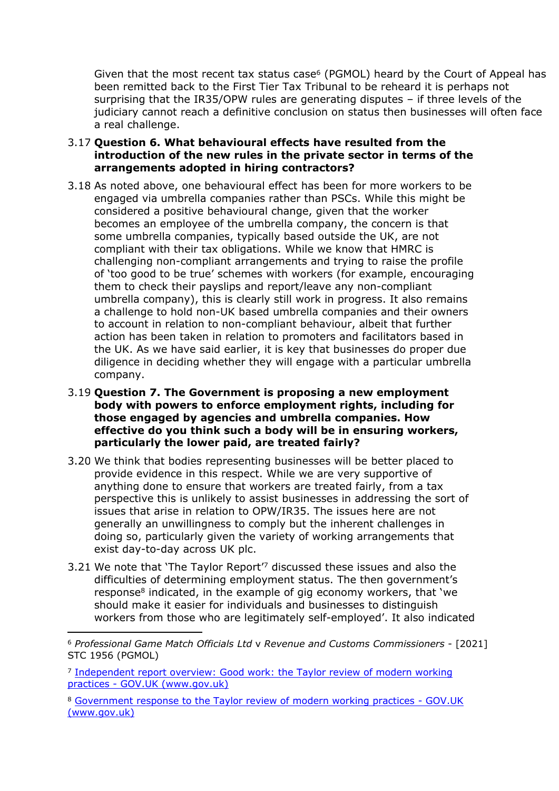Given that the most recent tax status case<sup>6</sup> (PGMOL) heard by the Court of Appeal has been remitted back to the First Tier Tax Tribunal to be reheard it is perhaps not surprising that the IR35/OPW rules are generating disputes – if three levels of the judiciary cannot reach a definitive conclusion on status then businesses will often face a real challenge.

- 3.17 **Question 6. What behavioural effects have resulted from the introduction of the new rules in the private sector in terms of the arrangements adopted in hiring contractors?**
- 3.18 As noted above, one behavioural effect has been for more workers to be engaged via umbrella companies rather than PSCs. While this might be considered a positive behavioural change, given that the worker becomes an employee of the umbrella company, the concern is that some umbrella companies, typically based outside the UK, are not compliant with their tax obligations. While we know that HMRC is challenging non-compliant arrangements and trying to raise the profile of 'too good to be true' schemes with workers (for example, encouraging them to check their payslips and report/leave any non-compliant umbrella company), this is clearly still work in progress. It also remains a challenge to hold non-UK based umbrella companies and their owners to account in relation to non-compliant behaviour, albeit that further action has been taken in relation to promoters and facilitators based in the UK. As we have said earlier, it is key that businesses do proper due diligence in deciding whether they will engage with a particular umbrella company.
- 3.19 **Question 7. The Government is proposing a new employment body with powers to enforce employment rights, including for those engaged by agencies and umbrella companies. How effective do you think such a body will be in ensuring workers, particularly the lower paid, are treated fairly?**
- 3.20 We think that bodies representing businesses will be better placed to provide evidence in this respect. While we are very supportive of anything done to ensure that workers are treated fairly, from a tax perspective this is unlikely to assist businesses in addressing the sort of issues that arise in relation to OPW/IR35. The issues here are not generally an unwillingness to comply but the inherent challenges in doing so, particularly given the variety of working arrangements that exist day-to-day across UK plc.
- 3.21 We note that 'The Taylor Report'<sup>7</sup> discussed these issues and also the difficulties of determining employment status. The then government's response<sup>8</sup> indicated, in the example of gig economy workers, that 'we should make it easier for individuals and businesses to distinguish workers from those who are legitimately self-employed'. It also indicated

<sup>6</sup> *Professional Game Match Officials Ltd* v *Revenue and Customs Commissioners* - [2021] STC 1956 (PGMOL)

<sup>&</sup>lt;sup>7</sup> [Independent](https://www.gov.uk/government/publications/good-work-the-taylor-review-of-modern-working-practices) [report](https://www.gov.uk/government/publications/good-work-the-taylor-review-of-modern-working-practices) [overview:](https://www.gov.uk/government/publications/good-work-the-taylor-review-of-modern-working-practices) [Good](https://www.gov.uk/government/publications/good-work-the-taylor-review-of-modern-working-practices) [work:](https://www.gov.uk/government/publications/good-work-the-taylor-review-of-modern-working-practices) [the](https://www.gov.uk/government/publications/good-work-the-taylor-review-of-modern-working-practices) [Taylor](https://www.gov.uk/government/publications/good-work-the-taylor-review-of-modern-working-practices) [review](https://www.gov.uk/government/publications/good-work-the-taylor-review-of-modern-working-practices) [of](https://www.gov.uk/government/publications/good-work-the-taylor-review-of-modern-working-practices) [modern](https://www.gov.uk/government/publications/good-work-the-taylor-review-of-modern-working-practices) [working](https://www.gov.uk/government/publications/good-work-the-taylor-review-of-modern-working-practices) [practices](https://www.gov.uk/government/publications/good-work-the-taylor-review-of-modern-working-practices) [-](https://www.gov.uk/government/publications/good-work-the-taylor-review-of-modern-working-practices) [GOV.UK](https://www.gov.uk/government/publications/good-work-the-taylor-review-of-modern-working-practices) [\(www.gov.uk\)](https://www.gov.uk/government/publications/good-work-the-taylor-review-of-modern-working-practices)

<sup>8</sup> [Government](https://www.gov.uk/government/publications/government-response-to-the-taylor-review-of-modern-working-practices) [response](https://www.gov.uk/government/publications/government-response-to-the-taylor-review-of-modern-working-practices) [to](https://www.gov.uk/government/publications/government-response-to-the-taylor-review-of-modern-working-practices) [the](https://www.gov.uk/government/publications/government-response-to-the-taylor-review-of-modern-working-practices) [Taylor](https://www.gov.uk/government/publications/government-response-to-the-taylor-review-of-modern-working-practices) [review](https://www.gov.uk/government/publications/government-response-to-the-taylor-review-of-modern-working-practices) [of](https://www.gov.uk/government/publications/government-response-to-the-taylor-review-of-modern-working-practices) [modern](https://www.gov.uk/government/publications/government-response-to-the-taylor-review-of-modern-working-practices) [working](https://www.gov.uk/government/publications/government-response-to-the-taylor-review-of-modern-working-practices) [practices](https://www.gov.uk/government/publications/government-response-to-the-taylor-review-of-modern-working-practices) [-](https://www.gov.uk/government/publications/government-response-to-the-taylor-review-of-modern-working-practices) [GOV.UK](https://www.gov.uk/government/publications/government-response-to-the-taylor-review-of-modern-working-practices) [\(www.gov.uk\)](https://www.gov.uk/government/publications/government-response-to-the-taylor-review-of-modern-working-practices)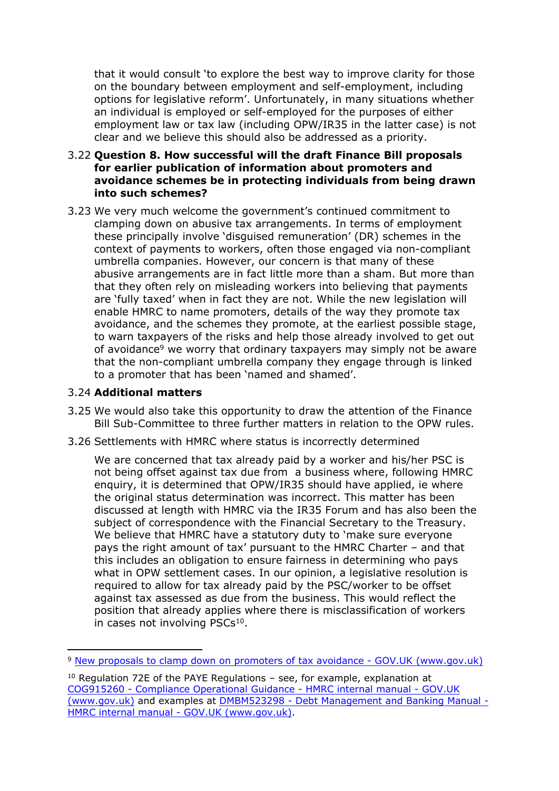that it would consult 'to explore the best way to improve clarity for those on the boundary between employment and self-employment, including options for legislative reform'. Unfortunately, in many situations whether an individual is employed or self-employed for the purposes of either employment law or tax law (including OPW/IR35 in the latter case) is not clear and we believe this should also be addressed as a priority.

#### 3.22 **Question 8. How successful will the draft Finance Bill proposals for earlier publication of information about promoters and avoidance schemes be in protecting individuals from being drawn into such schemes?**

3.23 We very much welcome the government's continued commitment to clamping down on abusive tax arrangements. In terms of employment these principally involve 'disguised remuneration' (DR) schemes in the context of payments to workers, often those engaged via non-compliant umbrella companies. However, our concern is that many of these abusive arrangements are in fact little more than a sham. But more than that they often rely on misleading workers into believing that payments are 'fully taxed' when in fact they are not. While the new legislation will enable HMRC to name promoters, details of the way they promote tax avoidance, and the schemes they promote, at the earliest possible stage, to warn taxpayers of the risks and help those already involved to get out of avoidance<sup>9</sup> we worry that ordinary taxpayers may simply not be aware that the non-compliant umbrella company they engage through is linked to a promoter that has been 'named and shamed'.

## 3.24 **Additional matters**

- 3.25 We would also take this opportunity to draw the attention of the Finance Bill Sub-Committee to three further matters in relation to the OPW rules.
- 3.26 Settlements with HMRC where status is incorrectly determined

We are concerned that tax already paid by a worker and his/her PSC is not being offset against tax due from a business where, following HMRC enquiry, it is determined that OPW/IR35 should have applied, ie where the original status determination was incorrect. This matter has been discussed at length with HMRC via the IR35 Forum and has also been the subject of correspondence with the Financial Secretary to the Treasury. We believe that HMRC have a statutory duty to 'make sure everyone pays the right amount of tax' pursuant to the HMRC Charter – and that this includes an obligation to ensure fairness in determining who pays what in OPW settlement cases. In our opinion, a legislative resolution is required to allow for tax already paid by the PSC/worker to be offset against tax assessed as due from the business. This would reflect the position that already applies where there is misclassification of workers in cases not involving PSCs<sup>10</sup>.

<sup>9</sup> [New](https://www.gov.uk/government/publications/new-proposals-to-clamp-down-on-promoters-of-tax-avoidance/new-proposals-to-clamp-down-on-promoters-of-tax-avoidance) [proposals](https://www.gov.uk/government/publications/new-proposals-to-clamp-down-on-promoters-of-tax-avoidance/new-proposals-to-clamp-down-on-promoters-of-tax-avoidance) [to](https://www.gov.uk/government/publications/new-proposals-to-clamp-down-on-promoters-of-tax-avoidance/new-proposals-to-clamp-down-on-promoters-of-tax-avoidance) [clamp](https://www.gov.uk/government/publications/new-proposals-to-clamp-down-on-promoters-of-tax-avoidance/new-proposals-to-clamp-down-on-promoters-of-tax-avoidance) [down](https://www.gov.uk/government/publications/new-proposals-to-clamp-down-on-promoters-of-tax-avoidance/new-proposals-to-clamp-down-on-promoters-of-tax-avoidance) [on](https://www.gov.uk/government/publications/new-proposals-to-clamp-down-on-promoters-of-tax-avoidance/new-proposals-to-clamp-down-on-promoters-of-tax-avoidance) [promoters](https://www.gov.uk/government/publications/new-proposals-to-clamp-down-on-promoters-of-tax-avoidance/new-proposals-to-clamp-down-on-promoters-of-tax-avoidance) [of](https://www.gov.uk/government/publications/new-proposals-to-clamp-down-on-promoters-of-tax-avoidance/new-proposals-to-clamp-down-on-promoters-of-tax-avoidance) [tax](https://www.gov.uk/government/publications/new-proposals-to-clamp-down-on-promoters-of-tax-avoidance/new-proposals-to-clamp-down-on-promoters-of-tax-avoidance) [avoidance](https://www.gov.uk/government/publications/new-proposals-to-clamp-down-on-promoters-of-tax-avoidance/new-proposals-to-clamp-down-on-promoters-of-tax-avoidance) [-](https://www.gov.uk/government/publications/new-proposals-to-clamp-down-on-promoters-of-tax-avoidance/new-proposals-to-clamp-down-on-promoters-of-tax-avoidance) [GOV.UK](https://www.gov.uk/government/publications/new-proposals-to-clamp-down-on-promoters-of-tax-avoidance/new-proposals-to-clamp-down-on-promoters-of-tax-avoidance) [\(www.gov.uk\)](https://www.gov.uk/government/publications/new-proposals-to-clamp-down-on-promoters-of-tax-avoidance/new-proposals-to-clamp-down-on-promoters-of-tax-avoidance)

<sup>10</sup> Regulation 72E of the PAYE Regulations – see, for example, explanation at [COG915260](https://www.gov.uk/hmrc-internal-manuals/compliance-operational-guidance/cog915260) [-](https://www.gov.uk/hmrc-internal-manuals/compliance-operational-guidance/cog915260) [Compliance](https://www.gov.uk/hmrc-internal-manuals/compliance-operational-guidance/cog915260) [Operational](https://www.gov.uk/hmrc-internal-manuals/compliance-operational-guidance/cog915260) [Guidance](https://www.gov.uk/hmrc-internal-manuals/compliance-operational-guidance/cog915260) [-](https://www.gov.uk/hmrc-internal-manuals/compliance-operational-guidance/cog915260) [HMRC](https://www.gov.uk/hmrc-internal-manuals/compliance-operational-guidance/cog915260) [internal](https://www.gov.uk/hmrc-internal-manuals/compliance-operational-guidance/cog915260) [manual](https://www.gov.uk/hmrc-internal-manuals/compliance-operational-guidance/cog915260) [-](https://www.gov.uk/hmrc-internal-manuals/compliance-operational-guidance/cog915260) [GOV.UK](https://www.gov.uk/hmrc-internal-manuals/compliance-operational-guidance/cog915260) [\(www.gov.uk\)](https://www.gov.uk/hmrc-internal-manuals/compliance-operational-guidance/cog915260) and examples at [DMBM523298](https://www.gov.uk/hmrc-internal-manuals/debt-management-and-banking/dmbm523298) [-](https://www.gov.uk/hmrc-internal-manuals/debt-management-and-banking/dmbm523298) [Debt](https://www.gov.uk/hmrc-internal-manuals/debt-management-and-banking/dmbm523298) [Management](https://www.gov.uk/hmrc-internal-manuals/debt-management-and-banking/dmbm523298) [and](https://www.gov.uk/hmrc-internal-manuals/debt-management-and-banking/dmbm523298) [Banking](https://www.gov.uk/hmrc-internal-manuals/debt-management-and-banking/dmbm523298) [Manual](https://www.gov.uk/hmrc-internal-manuals/debt-management-and-banking/dmbm523298) [-](https://www.gov.uk/hmrc-internal-manuals/debt-management-and-banking/dmbm523298) [HMRC](https://www.gov.uk/hmrc-internal-manuals/debt-management-and-banking/dmbm523298) [internal](https://www.gov.uk/hmrc-internal-manuals/debt-management-and-banking/dmbm523298) [manual](https://www.gov.uk/hmrc-internal-manuals/debt-management-and-banking/dmbm523298) [-](https://www.gov.uk/hmrc-internal-manuals/debt-management-and-banking/dmbm523298) [GOV.UK](https://www.gov.uk/hmrc-internal-manuals/debt-management-and-banking/dmbm523298) [\(www.gov.uk\).](https://www.gov.uk/hmrc-internal-manuals/debt-management-and-banking/dmbm523298)